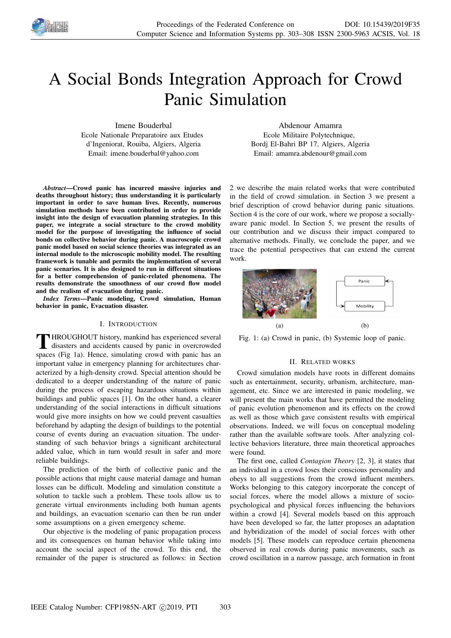

# A Social Bonds Integration Approach for Crowd Panic Simulation

Imene Bouderbal Ecole Nationale Preparatoire aux Etudes d'Ingeniorat, Rouiba, Algiers, Algeria Email: imene.bouderbal@yahoo.com

Abdenour Amamra Ecole Militaire Polytechnique, Bordj El-Bahri BP 17, Algiers, Algeria Email: amamra.abdenour@gmail.com

*Abstract*—Crowd panic has incurred massive injuries and deaths throughout history; thus understanding it is particularly important in order to save human lives. Recently, numerous simulation methods have been contributed in order to provide insight into the design of evacuation planning strategies. In this paper, we integrate a social structure to the crowd mobility model for the purpose of investigating the influence of social bonds on collective behavior during panic. A macroscopic crowd panic model based on social science theories was integrated as an internal module to the microscopic mobility model. The resulting framework is tunable and permits the implementation of several panic scenarios. It is also designed to run in different situations for a better comprehension of panic-related phenomena. The results demonstrate the smoothness of our crowd flow model and the realism of evacuation during panic.

*Index Terms*—Panic modeling, Crowd simulation, Human behavior in panic, Evacuation disaster.

## I. INTRODUCTION

**THROUGHOUT** history, mankind has experienced several disasters and accidents caused by panic in overcrowded spaces (Fig 1a). Hence, simulating crowd with panic has an **HROUGHOUT** history, mankind has experienced several disasters and accidents caused by panic in overcrowded important value in emergency planning for architectures characterized by a high-density crowd. Special attention should be dedicated to a deeper understanding of the nature of panic during the process of escaping hazardous situations within buildings and public spaces [1]. On the other hand, a clearer understanding of the social interactions in difficult situations would give more insights on how we could prevent casualties beforehand by adapting the design of buildings to the potential course of events during an evacuation situation. The understanding of such behavior brings a significant architectural added value, which in turn would result in safer and more reliable buildings.

The prediction of the birth of collective panic and the possible actions that might cause material damage and human losses can be difficult. Modeling and simulation constitute a solution to tackle such a problem. These tools allow us to generate virtual environments including both human agents and buildings, an evacuation scenario can then be run under some assumptions on a given emergency scheme.

Our objective is the modeling of panic propagation process and its consequences on human behavior while taking into account the social aspect of the crowd. To this end, the remainder of the paper is structured as follows: in Section 2 we describe the main related works that were contributed in the field of crowd simulation. in Section 3 we present a brief description of crowd behavior during panic situations. Section 4 is the core of our work, where we propose a sociallyaware panic model. In Section 5, we present the results of our contribution and we discuss their impact compared to alternative methods. Finally, we conclude the paper, and we trace the potential perspectives that can extend the current work.



Fig. 1: (a) Crowd in panic, (b) Systemic loop of panic.

#### II. RELATED WORKS

Crowd simulation models have roots in different domains such as entertainment, security, urbanism, architecture, management, etc. Since we are interested in panic modeling, we will present the main works that have permitted the modeling of panic evolution phenomenon and its effects on the crowd as well as those which gave consistent results with empirical observations. Indeed, we will focus on conceptual modeling rather than the available software tools. After analyzing collective behaviors literature, three main theoretical approaches were found.

The first one, called *Contagion Theory* [2, 3], it states that an individual in a crowd loses their conscious personality and obeys to all suggestions from the crowd influent members. Works belonging to this category incorporate the concept of social forces, where the model allows a mixture of sociopsychological and physical forces influencing the behaviors within a crowd [4]. Several models based on this approach have been developed so far, the latter proposes an adaptation and hybridization of the model of social forces with other models [5]. These models can reproduce certain phenomena observed in real crowds during panic movements, such as crowd oscillation in a narrow passage, arch formation in front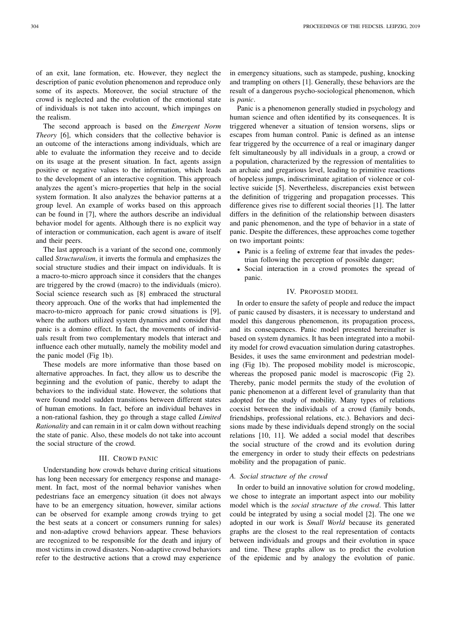of an exit, lane formation, etc. However, they neglect the description of panic evolution phenomenon and reproduce only some of its aspects. Moreover, the social structure of the crowd is neglected and the evolution of the emotional state of individuals is not taken into account, which impinges on the realism.

The second approach is based on the *Emergent Norm Theory* [6], which considers that the collective behavior is an outcome of the interactions among individuals, which are able to evaluate the information they receive and to decide on its usage at the present situation. In fact, agents assign positive or negative values to the information, which leads to the development of an interactive cognition. This approach analyzes the agent's micro-properties that help in the social system formation. It also analyzes the behavior patterns at a group level. An example of works based on this approach can be found in [7], where the authors describe an individual behavior model for agents. Although there is no explicit way of interaction or communication, each agent is aware of itself and their peers.

The last approach is a variant of the second one, commonly called *Structuralism*, it inverts the formula and emphasizes the social structure studies and their impact on individuals. It is a macro-to-micro approach since it considers that the changes are triggered by the crowd (macro) to the individuals (micro). Social science research such as [8] embraced the structural theory approach. One of the works that had implemented the macro-to-micro approach for panic crowd situations is [9], where the authors utilized system dynamics and consider that panic is a domino effect. In fact, the movements of individuals result from two complementary models that interact and influence each other mutually, namely the mobility model and the panic model (Fig 1b).

These models are more informative than those based on alternative approaches. In fact, they allow us to describe the beginning and the evolution of panic, thereby to adapt the behaviors to the individual state. However, the solutions that were found model sudden transitions between different states of human emotions. In fact, before an individual behaves in a non-rational fashion, they go through a stage called *Limited Rationality* and can remain in it or calm down without reaching the state of panic. Also, these models do not take into account the social structure of the crowd.

#### III. CROWD PANIC

Understanding how crowds behave during critical situations has long been necessary for emergency response and management. In fact, most of the normal behavior vanishes when pedestrians face an emergency situation (it does not always have to be an emergency situation, however, similar actions can be observed for example among crowds trying to get the best seats at a concert or consumers running for sales) and non-adaptive crowd behaviors appear. These behaviors are recognized to be responsible for the death and injury of most victims in crowd disasters. Non-adaptive crowd behaviors refer to the destructive actions that a crowd may experience

in emergency situations, such as stampede, pushing, knocking and trampling on others [1]. Generally, these behaviors are the result of a dangerous psycho-sociological phenomenon, which is *panic*.

Panic is a phenomenon generally studied in psychology and human science and often identified by its consequences. It is triggered whenever a situation of tension worsens, slips or escapes from human control. Panic is defined as an intense fear triggered by the occurrence of a real or imaginary danger felt simultaneously by all individuals in a group, a crowd or a population, characterized by the regression of mentalities to an archaic and gregarious level, leading to primitive reactions of hopeless jumps, indiscriminate agitation of violence or collective suicide [5]. Nevertheless, discrepancies exist between the definition of triggering and propagation processes. This difference gives rise to different social theories [1]. The latter differs in the definition of the relationship between disasters and panic phenomenon, and the type of behavior in a state of panic. Despite the differences, these approaches come together on two important points:

- Panic is a feeling of extreme fear that invades the pedestrian following the perception of possible danger;
- Social interaction in a crowd promotes the spread of panic.

### IV. PROPOSED MODEL

In order to ensure the safety of people and reduce the impact of panic caused by disasters, it is necessary to understand and model this dangerous phenomenon, its propagation process, and its consequences. Panic model presented hereinafter is based on system dynamics. It has been integrated into a mobility model for crowd evacuation simulation during catastrophes. Besides, it uses the same environment and pedestrian modeling (Fig 1b). The proposed mobility model is microscopic, whereas the proposed panic model is macroscopic (Fig 2). Thereby, panic model permits the study of the evolution of panic phenomenon at a different level of granularity than that adopted for the study of mobility. Many types of relations coexist between the individuals of a crowd (family bonds, friendships, professional relations, etc.). Behaviors and decisions made by these individuals depend strongly on the social relations [10, 11]. We added a social model that describes the social structure of the crowd and its evolution during the emergency in order to study their effects on pedestrians mobility and the propagation of panic.

## *A. Social structure of the crowd*

In order to build an innovative solution for crowd modeling, we chose to integrate an important aspect into our mobility model which is the *social structure of the crowd*. This latter could be integrated by using a social model [2]. The one we adopted in our work is *Small World* because its generated graphs are the closest to the real representation of contacts between individuals and groups and their evolution in space and time. These graphs allow us to predict the evolution of the epidemic and by analogy the evolution of panic.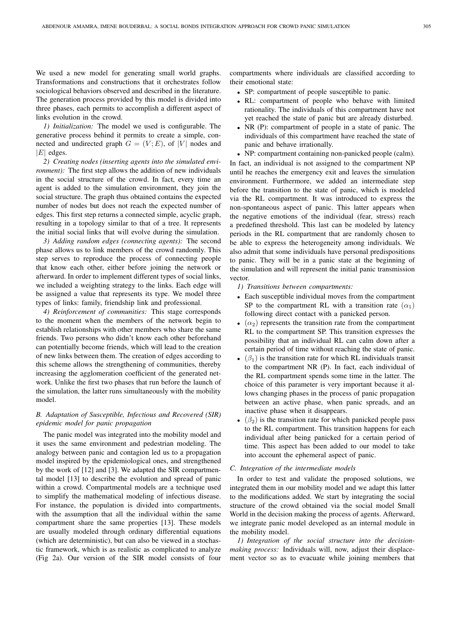We used a new model for generating small world graphs. Transformations and constructions that it orchestrates follow sociological behaviors observed and described in the literature. The generation process provided by this model is divided into three phases, each permits to accomplish a different aspect of links evolution in the crowd.

*1) Initialization:* The model we used is configurable. The generative process behind it permits to create a simple, connected and undirected graph  $G = (V; E)$ , of |V| nodes and  $|E|$  edges.

*2) Creating nodes (inserting agents into the simulated environment*): The first step allows the addition of new individuals in the social structure of the crowd. In fact, every time an agent is added to the simulation environment, they join the social structure. The graph thus obtained contains the expected number of nodes but does not reach the expected number of edges. This first step returns a connected simple, acyclic graph, resulting in a topology similar to that of a tree. It represents the initial social links that will evolve during the simulation.

*3) Adding random edges (connecting agents):* The second phase allows us to link members of the crowd randomly. This step serves to reproduce the process of connecting people that know each other, either before joining the network or afterward. In order to implement different types of social links, we included a weighting strategy to the links. Each edge will be assigned a value that represents its type. We model three types of links: family, friendship link and professional.

*4) Reinforcement of communities:* This stage corresponds to the moment when the members of the network begin to establish relationships with other members who share the same friends. Two persons who didn't know each other beforehand can potentially become friends, which will lead to the creation of new links between them. The creation of edges according to this scheme allows the strengthening of communities, thereby increasing the agglomeration coefficient of the generated network. Unlike the first two phases that run before the launch of the simulation, the latter runs simultaneously with the mobility model.

# *B. Adaptation of Susceptible, Infectious and Recovered (SIR) epidemic model for panic propagation*

The panic model was integrated into the mobility model and it uses the same environment and pedestrian modeling. The analogy between panic and contagion led us to a propagation model inspired by the epidemiological ones, and strengthened by the work of [12] and [3]. We adapted the SIR compartmental model [13] to describe the evolution and spread of panic within a crowd. Compartmental models are a technique used to simplify the mathematical modeling of infectious disease. For instance, the population is divided into compartments, with the assumption that all the individual within the same compartment share the same properties [13]. These models are usually modeled through ordinary differential equations (which are deterministic), but can also be viewed in a stochastic framework, which is as realistic as complicated to analyze (Fig 2a). Our version of the SIR model consists of four

compartments where individuals are classified according to their emotional state:

- SP: compartment of people susceptible to panic.
- RL: compartment of people who behave with limited rationality. The individuals of this compartment have not yet reached the state of panic but are already disturbed.
- NR (P): compartment of people in a state of panic. The individuals of this compartment have reached the state of panic and behave irrationally.
- NP: compartment containing non-panicked people (calm).

In fact, an individual is not assigned to the compartment NP until he reaches the emergency exit and leaves the simulation environment. Furthermore, we added an intermediate step before the transition to the state of panic, which is modeled via the RL compartment. It was introduced to express the non-spontaneous aspect of panic. This latter appears when the negative emotions of the individual (fear, stress) reach a predefined threshold. This last can be modeled by latency periods in the RL compartment that are randomly chosen to be able to express the heterogeneity among individuals. We also admit that some individuals have personal predispositions to panic. They will be in a panic state at the beginning of the simulation and will represent the initial panic transmission vector.

- *1) Transitions between compartments:*
- Each susceptible individual moves from the compartment SP to the compartment RL with a transition rate  $(\alpha_1)$ following direct contact with a panicked person.
- $(\alpha_2)$  represents the transition rate from the compartment RL to the compartment SP. This transition expresses the possibility that an individual RL can calm down after a certain period of time without reaching the state of panic.
- $(\beta_1)$  is the transition rate for which RL individuals transit to the compartment NR (P). In fact, each individual of the RL compartment spends some time in the latter. The choice of this parameter is very important because it allows changing phases in the process of panic propagation between an active phase, when panic spreads, and an inactive phase when it disappears.
- $(\beta_2)$  is the transition rate for which panicked people pass to the RL compartment. This transition happens for each individual after being panicked for a certain period of time. This aspect has been added to our model to take into account the ephemeral aspect of panic.

# *C. Integration of the intermediate models*

In order to test and validate the proposed solutions, we integrated them in our mobility model and we adapt this latter to the modifications added. We start by integrating the social structure of the crowd obtained via the social model Small World in the decision making the process of agents. Afterward, we integrate panic model developed as an internal module in the mobility model.

*1) Integration of the social structure into the decisionmaking process:* Individuals will, now, adjust their displacement vector so as to evacuate while joining members that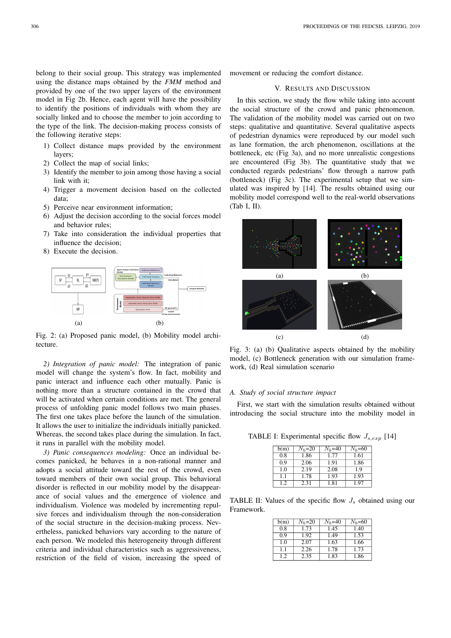belong to their social group. This strategy was implemented using the distance maps obtained by the *FMM* method and provided by one of the two upper layers of the environment model in Fig 2b. Hence, each agent will have the possibility to identify the positions of individuals with whom they are socially linked and to choose the member to join according to the type of the link. The decision-making process consists of the following iterative steps:

- 1) Collect distance maps provided by the environment layers;
- 2) Collect the map of social links;
- 3) Identify the member to join among those having a social link with it;
- 4) Trigger a movement decision based on the collected data;
- 5) Perceive near environment information;
- 6) Adjust the decision according to the social forces model and behavior rules;
- 7) Take into consideration the individual properties that influence the decision;
- 8) Execute the decision.



Fig. 2: (a) Proposed panic model, (b) Mobility model architecture.

*2) Integration of panic model:* The integration of panic model will change the system's flow. In fact, mobility and panic interact and influence each other mutually. Panic is nothing more than a structure contained in the crowd that will be activated when certain conditions are met. The general process of unfolding panic model follows two main phases. The first one takes place before the launch of the simulation. It allows the user to initialize the individuals initially panicked. Whereas, the second takes place during the simulation. In fact, it runs in parallel with the mobility model.

*3) Panic consequences modeling:* Once an individual becomes panicked, he behaves in a non-rational manner and adopts a social attitude toward the rest of the crowd, even toward members of their own social group. This behavioral disorder is reflected in our mobility model by the disappearance of social values and the emergence of violence and individualism. Violence was modeled by incrementing repulsive forces and individualism through the non-consideration of the social structure in the decision-making process. Nevertheless, panicked behaviors vary according to the nature of each person. We modeled this heterogeneity through different criteria and individual characteristics such as aggressiveness, restriction of the field of vision, increasing the speed of movement or reducing the comfort distance.

#### V. RESULTS AND DISCUSSION

In this section, we study the flow while taking into account the social structure of the crowd and panic phenomenon. The validation of the mobility model was carried out on two steps: qualitative and quantitative. Several qualitative aspects of pedestrian dynamics were reproduced by our model such as lane formation, the arch phenomenon, oscillations at the bottleneck, etc (Fig 3a), and no more unrealistic congestions are encountered (Fig 3b). The quantitative study that we conducted regards pedestrians' flow through a narrow path (bottleneck) (Fig 3c). The experimental setup that we simulated was inspired by [14]. The results obtained using our mobility model correspond well to the real-world observations (Tab I, II).



Fig. 3: (a) (b) Qualitative aspects obtained by the mobility model, (c) Bottleneck generation with our simulation framework, (d) Real simulation scenario

#### *A. Study of social structure impact*

First, we start with the simulation results obtained without introducing the social structure into the mobility model in

TABLE I: Experimental specific flow  $J_{s,exp}$  [14]

| b(m) | $N_h = 20$ | $N_b = 40$ | $N_b = 60$ |
|------|------------|------------|------------|
| 0.8  | 1.86       | 1.77       | 1.61       |
| 0.9  | 2.06       | 1.91       | 1.86       |
| 1.0  | 2.19       | 2.08       | 19         |
| 11   | 1.78       | 1.93       | 1.93       |
| 12   | 2.31       | 1.81       | 197        |

TABLE II: Values of the specific flow  $J_s$  obtained using our Framework.

| b(m)           | $N_h = 20$ | $N_b = 40$ | $N_b = 60$ |
|----------------|------------|------------|------------|
| 0.8            | 1.73       | 1.45       | 1.40       |
| 0.9            | 1.92       | 1.49       | 1.53       |
| 1.0            | 2.07       | 1.63       | 1.66       |
| 1 <sub>1</sub> | 2.26       | 1.78       | 1.73       |
| 12             | 2.35       | 1.83       | 1.86       |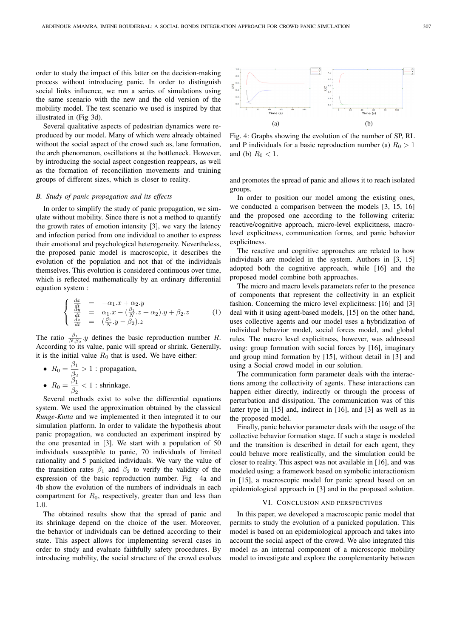order to study the impact of this latter on the decision-making process without introducing panic. In order to distinguish social links influence, we run a series of simulations using the same scenario with the new and the old version of the mobility model. The test scenario we used is inspired by that illustrated in (Fig 3d).

Several qualitative aspects of pedestrian dynamics were reproduced by our model. Many of which were already obtained without the social aspect of the crowd such as, lane formation, the arch phenomenon, oscillations at the bottleneck. However, by introducing the social aspect congestion reappears, as well as the formation of reconciliation movements and training groups of different sizes, which is closer to reality.

#### *B. Study of panic propagation and its effects*

In order to simplify the study of panic propagation, we simulate without mobility. Since there is not a method to quantify the growth rates of emotion intensity [3], we vary the latency and infection period from one individual to another to express their emotional and psychological heterogeneity. Nevertheless, the proposed panic model is macroscopic, it describes the evolution of the population and not that of the individuals themselves. This evolution is considered continuous over time, which is reflected mathematically by an ordinary differential equation system :

$$
\begin{cases}\n\frac{dx}{dt} = -\alpha_1 \cdot x + \alpha_2 \cdot y \\
\frac{dy}{dt} = \alpha_1 \cdot x - (\frac{\beta_1}{N} \cdot z + \alpha_2) \cdot y + \beta_2 \cdot z \\
\frac{dz}{dt} = (\frac{\beta_1}{N} \cdot y - \beta_2) \cdot z\n\end{cases} (1)
$$

The ratio  $\frac{\beta_1}{N.\beta_2}.y$  defines the basic reproduction number R. According to its value, panic will spread or shrink. Generally, it is the initial value  $R_0$  that is used. We have either:

\n- $$
R_0 = \frac{\beta_1}{\beta_2} > 1
$$
: propagation,
\n- $R_0 = \frac{\beta_1}{\beta_2} < 1$ : shrinkage.
\n

Several methods exist to solve the differential equations system. We used the approximation obtained by the classical *Runge-Kutta* and we implemented it then integrated it to our simulation platform. In order to validate the hypothesis about panic propagation, we conducted an experiment inspired by the one presented in [3]. We start with a population of 50 individuals susceptible to panic, 70 individuals of limited rationality and 5 panicked individuals. We vary the value of the transition rates  $\beta_1$  and  $\beta_2$  to verify the validity of the expression of the basic reproduction number. Fig 4a and 4b show the evolution of the numbers of individuals in each compartment for  $R_0$ , respectively, greater than and less than 1.0.

The obtained results show that the spread of panic and its shrinkage depend on the choice of the user. Moreover, the behavior of individuals can be defined according to their state. This aspect allows for implementing several cases in order to study and evaluate faithfully safety procedures. By introducing mobility, the social structure of the crowd evolves



Fig. 4: Graphs showing the evolution of the number of SP, RL and P individuals for a basic reproduction number (a)  $R_0 > 1$ and (b)  $R_0 < 1$ .

and promotes the spread of panic and allows it to reach isolated groups.

In order to position our model among the existing ones, we conducted a comparison between the models [3, 15, 16] and the proposed one according to the following criteria: reactive/cognitive approach, micro-level explicitness, macrolevel explicitness, communication forms, and panic behavior explicitness.

The reactive and cognitive approaches are related to how individuals are modeled in the system. Authors in [3, 15] adopted both the cognitive approach, while [16] and the proposed model combine both approaches.

The micro and macro levels parameters refer to the presence of components that represent the collectivity in an explicit fashion. Concerning the micro level explicitness: [16] and [3] deal with it using agent-based models, [15] on the other hand, uses collective agents and our model uses a hybridization of individual behavior model, social forces model, and global rules. The macro level explicitness, however, was addressed using: group formation with social forces by [16], imaginary and group mind formation by [15], without detail in [3] and using a Social crowd model in our solution.

The communication form parameter deals with the interactions among the collectivity of agents. These interactions can happen either directly, indirectly or through the process of perturbation and dissipation. The communication was of this latter type in [15] and, indirect in [16], and [3] as well as in the proposed model.

Finally, panic behavior parameter deals with the usage of the collective behavior formation stage. If such a stage is modeled and the transition is described in detail for each agent, they could behave more realistically, and the simulation could be closer to reality. This aspect was not available in [16], and was modeled using: a framework based on symbolic interactionism in [15], a macroscopic model for panic spread based on an epidemiological approach in [3] and in the proposed solution.

# VI. CONCLUSION AND PERSPECTIVES

In this paper, we developed a macroscopic panic model that permits to study the evolution of a panicked population. This model is based on an epidemiological approach and takes into account the social aspect of the crowd. We also integrated this model as an internal component of a microscopic mobility model to investigate and explore the complementarity between